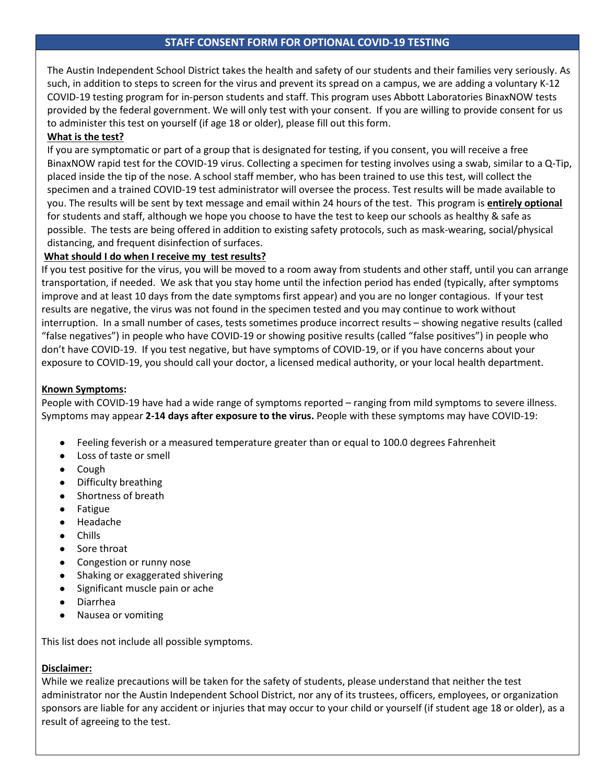# **STAFF CONSENT FORM FOR OPTIONAL COVID-19 TESTING**

The Austin Independent School District takes the health and safety of our students and their families very seriously. As such, in addition to steps to screen for the virus and prevent its spread on a campus, we are adding a voluntary K-12 COVID-19 testing program for in-person students and staff. This program uses Abbott Laboratories BinaxNOW tests provided by the federal government. We will only test with your consent. If you are willing to provide consent for us to administer this test on yourself (if age 18 or older), please fill out this form.

## **What is the test?**

If you are symptomatic or part of a group that is designated for testing, if you consent, you will receive a free BinaxNOW rapid test for the COVID-19 virus. Collecting a specimen for testing involves using a swab, similar to a Q-Tip, placed inside the tip of the nose. A school staff member, who has been trained to use this test, will collect the specimen and a trained COVID-19 test administrator will oversee the process. Test results will be made available to you. The results will be sent by text message and email within 24 hours of the test. This program is **entirely optional** for students and staff, although we hope you choose to have the test to keep our schools as healthy & safe as possible. The tests are being offered in addition to existing safety protocols, such as mask-wearing, social/physical distancing, and frequent disinfection of surfaces.

## **What should I do when I receive my test results?**

If you test positive for the virus, you will be moved to a room away from students and other staff, until you can arrange transportation, if needed. We ask that you stay home until the infection period has ended (typically, after symptoms improve and at least 10 days from the date symptoms first appear) and you are no longer contagious. If your test results are negative, the virus was not found in the specimen tested and you may continue to work without interruption. In a small number of cases, tests sometimes produce incorrect results – showing negative results (called "false negatives") in people who have COVID-19 or showing positive results (called "false positives") in people who don't have COVID-19. If you test negative, but have symptoms of COVID-19, or if you have concerns about your exposure to COVID-19, you should call your doctor, a licensed medical authority, or your local health department.

### **Known Symptoms:**

People with COVID-19 have had a wide range of symptoms reported – ranging from mild symptoms to severe illness. Symptoms may appear **2-14 days after exposure to the virus.** People with these symptoms may have COVID-19:

- Feeling feverish or a measured temperature greater than or equal to 100.0 degrees Fahrenheit
- Loss of taste or smell
- Cough
- Difficulty breathing
- Shortness of breath
- Fatigue
- Headache
- Chills
- Sore throat
- Congestion or runny nose
- Shaking or exaggerated shivering
- Significant muscle pain or ache
- Diarrhea
- Nausea or vomiting

This list does not include all possible symptoms.

## **Disclaimer:**

While we realize precautions will be taken for the safety of students, please understand that neither the test administrator nor the Austin Independent School District, nor any of its trustees, officers, employees, or organization sponsors are liable for any accident or injuries that may occur to your child or yourself (if student age 18 or older), as a result of agreeing to the test.